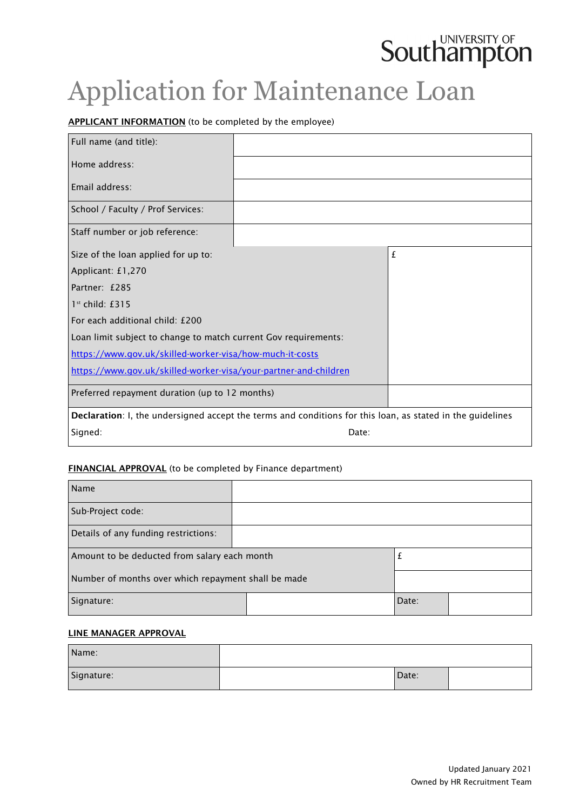# **Southampton**

# Application for Maintenance Loan

# APPLICANT INFORMATION (to be completed by the employee)

| Full name (and title):                                                                                     |       |   |
|------------------------------------------------------------------------------------------------------------|-------|---|
| Home address:                                                                                              |       |   |
| Email address:                                                                                             |       |   |
| School / Faculty / Prof Services:                                                                          |       |   |
| Staff number or job reference:                                                                             |       |   |
| Size of the loan applied for up to:                                                                        |       | £ |
| Applicant: £1,270                                                                                          |       |   |
| Partner: £285                                                                                              |       |   |
| $1st$ child: £315                                                                                          |       |   |
| For each additional child: £200                                                                            |       |   |
| Loan limit subject to change to match current Gov requirements:                                            |       |   |
| https://www.gov.uk/skilled-worker-visa/how-much-it-costs                                                   |       |   |
| https://www.qov.uk/skilled-worker-visa/your-partner-and-children                                           |       |   |
| Preferred repayment duration (up to 12 months)                                                             |       |   |
| Declaration: I, the undersigned accept the terms and conditions for this loan, as stated in the guidelines |       |   |
| Signed:                                                                                                    | Date: |   |

#### FINANCIAL APPROVAL (to be completed by Finance department)

| Name                                                |  |       |  |
|-----------------------------------------------------|--|-------|--|
| Sub-Project code:                                   |  |       |  |
| Details of any funding restrictions:                |  |       |  |
| Amount to be deducted from salary each month        |  | İ.    |  |
| Number of months over which repayment shall be made |  |       |  |
| Signature:                                          |  | Date: |  |

#### LINE MANAGER APPROVAL

| Name:      |       |  |
|------------|-------|--|
| Signature: | Date: |  |